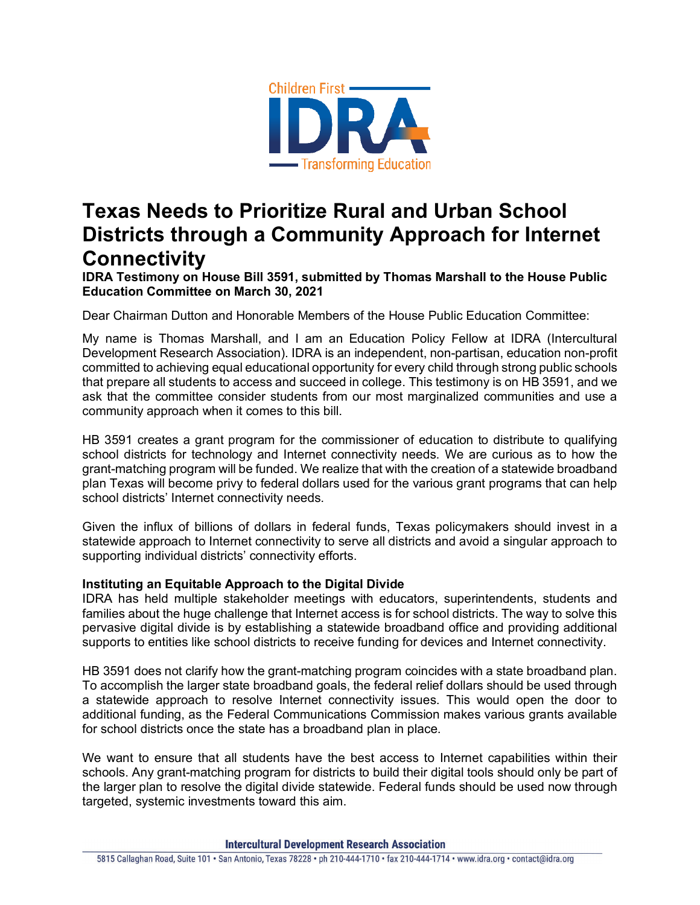

## **Texas Needs to Prioritize Rural and Urban School Districts through a Community Approach for Internet Connectivity**

**IDRA Testimony on House Bill 3591, submitted by Thomas Marshall to the House Public Education Committee on March 30, 2021**

Dear Chairman Dutton and Honorable Members of the House Public Education Committee:

My name is Thomas Marshall, and I am an Education Policy Fellow at IDRA (Intercultural Development Research Association). IDRA is an independent, non-partisan, education non-profit committed to achieving equal educational opportunity for every child through strong public schools that prepare all students to access and succeed in college. This testimony is on HB 3591, and we ask that the committee consider students from our most marginalized communities and use a community approach when it comes to this bill.

HB 3591 creates a grant program for the commissioner of education to distribute to qualifying school districts for technology and Internet connectivity needs. We are curious as to how the grant-matching program will be funded. We realize that with the creation of a statewide broadband plan Texas will become privy to federal dollars used for the various grant programs that can help school districts' Internet connectivity needs.

Given the influx of billions of dollars in federal funds, Texas policymakers should invest in a statewide approach to Internet connectivity to serve all districts and avoid a singular approach to supporting individual districts' connectivity efforts.

## **Instituting an Equitable Approach to the Digital Divide**

IDRA has held multiple stakeholder meetings with educators, superintendents, students and families about the huge challenge that Internet access is for school districts. The way to solve this pervasive digital divide is by establishing a statewide broadband office and providing additional supports to entities like school districts to receive funding for devices and Internet connectivity.

HB 3591 does not clarify how the grant-matching program coincides with a state broadband plan. To accomplish the larger state broadband goals, the federal relief dollars should be used through a statewide approach to resolve Internet connectivity issues. This would open the door to additional funding, as the Federal Communications Commission makes various grants available for school districts once the state has a broadband plan in place.

We want to ensure that all students have the best access to Internet capabilities within their schools. Any grant-matching program for districts to build their digital tools should only be part of the larger plan to resolve the digital divide statewide. Federal funds should be used now through targeted, systemic investments toward this aim.

**Intercultural Development Research Association**